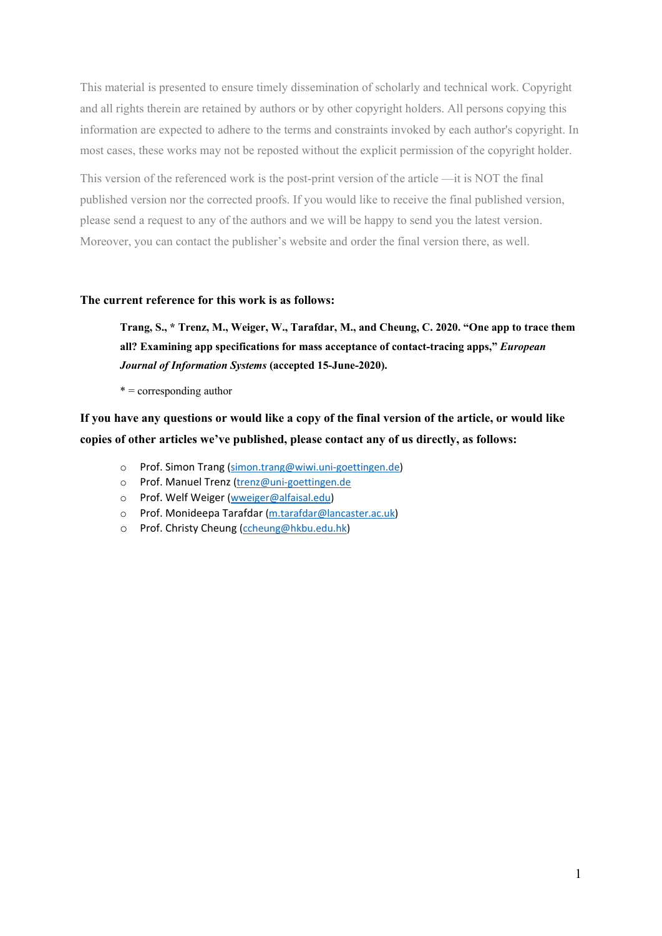This material is presented to ensure timely dissemination of scholarly and technical work. Copyright and all rights therein are retained by authors or by other copyright holders. All persons copying this information are expected to adhere to the terms and constraints invoked by each author's copyright. In most cases, these works may not be reposted without the explicit permission of the copyright holder.

This version of the referenced work is the post-print version of the article —it is NOT the final published version nor the corrected proofs. If you would like to receive the final published version, please send a request to any of the authors and we will be happy to send you the latest version. Moreover, you can contact the publisher's website and order the final version there, as well.

# **The current reference for this work is as follows:**

**Trang, S., \* Trenz, M., Weiger, W., Tarafdar, M., and Cheung, C. 2020. "One app to trace them all? Examining app specifications for mass acceptance of contact-tracing apps,"** *European Journal of Information Systems* **(accepted 15-June-2020).**

 $* =$  corresponding author

**If you have any questions or would like a copy of the final version of the article, or would like copies of other articles we've published, please contact any of us directly, as follows:**

- o Prof. Simon Trang [\(simon.trang@wiwi.uni-goettingen.de\)](mailto:simon.trang@wiwi.uni-goettingen.de)
- o Prof. Manuel Trenz [\(trenz@uni-goettingen.de](mailto:trenz@uni-goettingen.de)
- o Prof. Welf Weiger [\(wweiger@alfaisal.edu\)](mailto:wweiger@alfaisal.edu)
- o Prof. Monideepa Tarafdar [\(m.tarafdar@lancaster.ac.uk\)](mailto:m.tarafdar@lancaster.ac.uk)
- o Prof. Christy Cheung [\(ccheung@hkbu.edu.hk\)](mailto:ccheung@hkbu.edu.hk)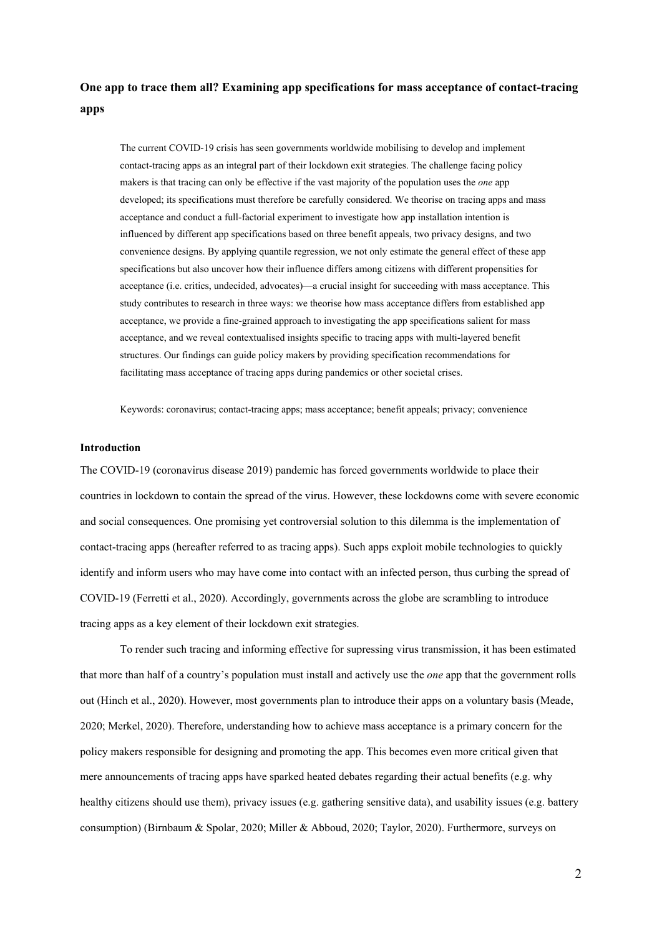**One app to trace them all? Examining app specifications for mass acceptance of contact-tracing apps** 

The current COVID-19 crisis has seen governments worldwide mobilising to develop and implement contact-tracing apps as an integral part of their lockdown exit strategies. The challenge facing policy makers is that tracing can only be effective if the vast majority of the population uses the *one* app developed; its specifications must therefore be carefully considered. We theorise on tracing apps and mass acceptance and conduct a full-factorial experiment to investigate how app installation intention is influenced by different app specifications based on three benefit appeals, two privacy designs, and two convenience designs. By applying quantile regression, we not only estimate the general effect of these app specifications but also uncover how their influence differs among citizens with different propensities for acceptance (i.e. critics, undecided, advocates)—a crucial insight for succeeding with mass acceptance. This study contributes to research in three ways: we theorise how mass acceptance differs from established app acceptance, we provide a fine-grained approach to investigating the app specifications salient for mass acceptance, and we reveal contextualised insights specific to tracing apps with multi-layered benefit structures. Our findings can guide policy makers by providing specification recommendations for facilitating mass acceptance of tracing apps during pandemics or other societal crises.

Keywords: coronavirus; contact-tracing apps; mass acceptance; benefit appeals; privacy; convenience

#### **Introduction**

The COVID-19 (coronavirus disease 2019) pandemic has forced governments worldwide to place their countries in lockdown to contain the spread of the virus. However, these lockdowns come with severe economic and social consequences. One promising yet controversial solution to this dilemma is the implementation of contact-tracing apps (hereafter referred to as tracing apps). Such apps exploit mobile technologies to quickly identify and inform users who may have come into contact with an infected person, thus curbing the spread of COVID-19 (Ferretti et al., 2020). Accordingly, governments across the globe are scrambling to introduce tracing apps as a key element of their lockdown exit strategies.

To render such tracing and informing effective for supressing virus transmission, it has been estimated that more than half of a country's population must install and actively use the *one* app that the government rolls out (Hinch et al., 2020). However, most governments plan to introduce their apps on a voluntary basis (Meade, 2020; Merkel, 2020). Therefore, understanding how to achieve mass acceptance is a primary concern for the policy makers responsible for designing and promoting the app. This becomes even more critical given that mere announcements of tracing apps have sparked heated debates regarding their actual benefits (e.g. why healthy citizens should use them), privacy issues (e.g. gathering sensitive data), and usability issues (e.g. battery consumption) (Birnbaum & Spolar, 2020; Miller & Abboud, 2020; Taylor, 2020). Furthermore, surveys on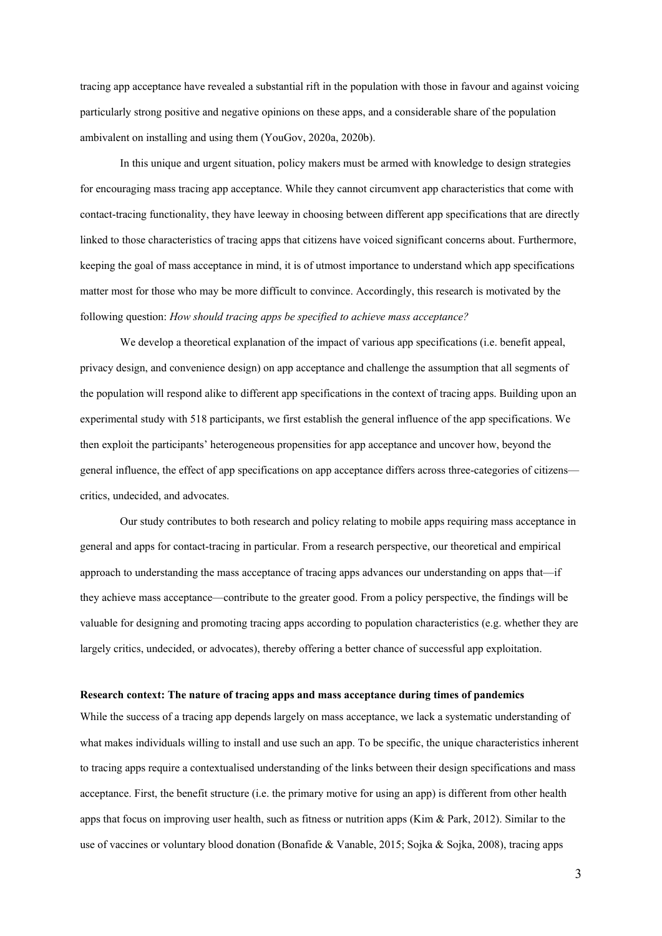tracing app acceptance have revealed a substantial rift in the population with those in favour and against voicing particularly strong positive and negative opinions on these apps, and a considerable share of the population ambivalent on installing and using them (YouGov, 2020a, 2020b).

In this unique and urgent situation, policy makers must be armed with knowledge to design strategies for encouraging mass tracing app acceptance. While they cannot circumvent app characteristics that come with contact-tracing functionality, they have leeway in choosing between different app specifications that are directly linked to those characteristics of tracing apps that citizens have voiced significant concerns about. Furthermore, keeping the goal of mass acceptance in mind, it is of utmost importance to understand which app specifications matter most for those who may be more difficult to convince. Accordingly, this research is motivated by the following question: *How should tracing apps be specified to achieve mass acceptance?*

We develop a theoretical explanation of the impact of various app specifications (i.e. benefit appeal, privacy design, and convenience design) on app acceptance and challenge the assumption that all segments of the population will respond alike to different app specifications in the context of tracing apps. Building upon an experimental study with 518 participants, we first establish the general influence of the app specifications. We then exploit the participants' heterogeneous propensities for app acceptance and uncover how, beyond the general influence, the effect of app specifications on app acceptance differs across three-categories of citizens critics, undecided, and advocates.

Our study contributes to both research and policy relating to mobile apps requiring mass acceptance in general and apps for contact-tracing in particular. From a research perspective, our theoretical and empirical approach to understanding the mass acceptance of tracing apps advances our understanding on apps that—if they achieve mass acceptance—contribute to the greater good. From a policy perspective, the findings will be valuable for designing and promoting tracing apps according to population characteristics (e.g. whether they are largely critics, undecided, or advocates), thereby offering a better chance of successful app exploitation.

#### **Research context: The nature of tracing apps and mass acceptance during times of pandemics**

While the success of a tracing app depends largely on mass acceptance, we lack a systematic understanding of what makes individuals willing to install and use such an app. To be specific, the unique characteristics inherent to tracing apps require a contextualised understanding of the links between their design specifications and mass acceptance. First, the benefit structure (i.e. the primary motive for using an app) is different from other health apps that focus on improving user health, such as fitness or nutrition apps (Kim & Park, 2012). Similar to the use of vaccines or voluntary blood donation (Bonafide & Vanable, 2015; Sojka & Sojka, 2008), tracing apps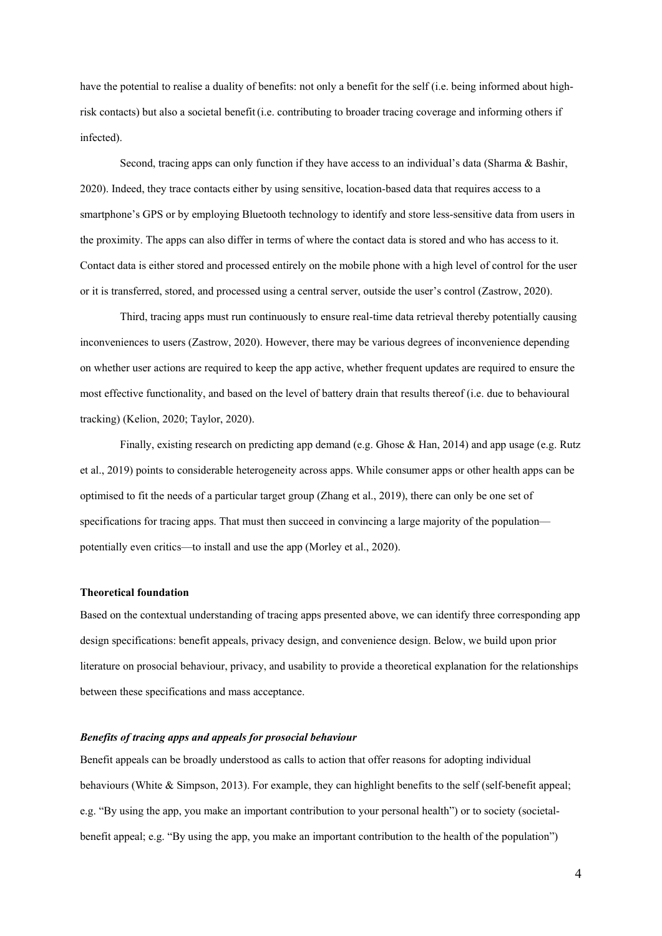have the potential to realise a duality of benefits: not only a benefit for the self (i.e. being informed about highrisk contacts) but also a societal benefit(i.e. contributing to broader tracing coverage and informing others if infected).

Second, tracing apps can only function if they have access to an individual's data (Sharma & Bashir, 2020). Indeed, they trace contacts either by using sensitive, location-based data that requires access to a smartphone's GPS or by employing Bluetooth technology to identify and store less-sensitive data from users in the proximity. The apps can also differ in terms of where the contact data is stored and who has access to it. Contact data is either stored and processed entirely on the mobile phone with a high level of control for the user or it is transferred, stored, and processed using a central server, outside the user's control (Zastrow, 2020).

Third, tracing apps must run continuously to ensure real-time data retrieval thereby potentially causing inconveniences to users (Zastrow, 2020). However, there may be various degrees of inconvenience depending on whether user actions are required to keep the app active, whether frequent updates are required to ensure the most effective functionality, and based on the level of battery drain that results thereof (i.e. due to behavioural tracking) (Kelion, 2020; Taylor, 2020).

Finally, existing research on predicting app demand (e.g. Ghose & Han, 2014) and app usage (e.g. Rutz et al., 2019) points to considerable heterogeneity across apps. While consumer apps or other health apps can be optimised to fit the needs of a particular target group (Zhang et al., 2019), there can only be one set of specifications for tracing apps. That must then succeed in convincing a large majority of the population potentially even critics—to install and use the app (Morley et al., 2020).

# **Theoretical foundation**

Based on the contextual understanding of tracing apps presented above, we can identify three corresponding app design specifications: benefit appeals, privacy design, and convenience design. Below, we build upon prior literature on prosocial behaviour, privacy, and usability to provide a theoretical explanation for the relationships between these specifications and mass acceptance.

## *Benefits of tracing apps and appeals for prosocial behaviour*

Benefit appeals can be broadly understood as calls to action that offer reasons for adopting individual behaviours (White & Simpson, 2013). For example, they can highlight benefits to the self (self-benefit appeal; e.g. "By using the app, you make an important contribution to your personal health") or to society (societalbenefit appeal; e.g. "By using the app, you make an important contribution to the health of the population")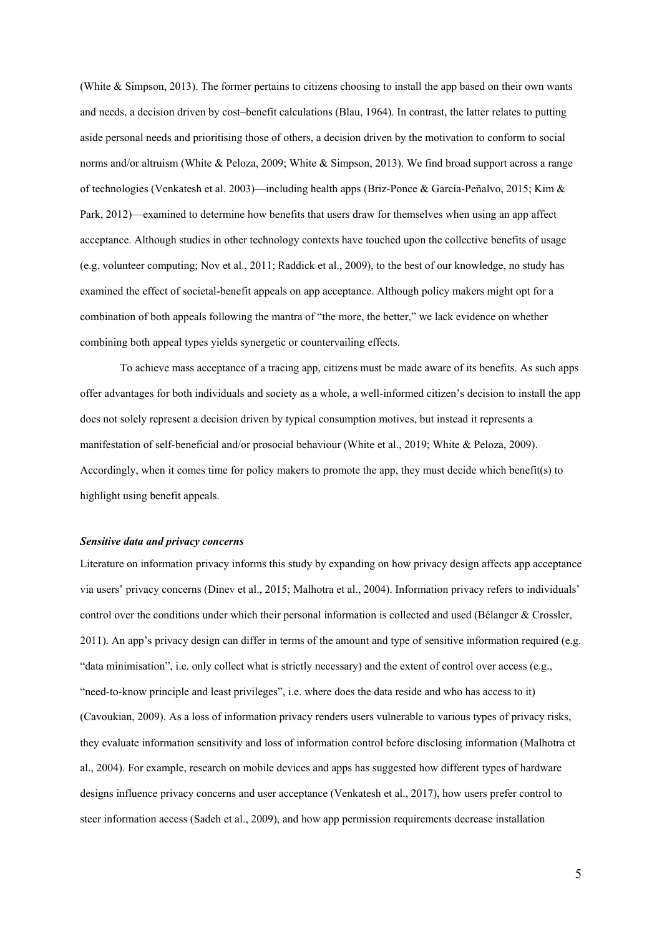(White & Simpson, 2013). The former pertains to citizens choosing to install the app based on their own wants and needs, a decision driven by cost–benefit calculations (Blau, 1964). In contrast, the latter relates to putting aside personal needs and prioritising those of others, a decision driven by the motivation to conform to social norms and/or altruism (White & Peloza, 2009; White & Simpson, 2013). We find broad support across a range of technologies (Venkatesh et al. 2003)—including health apps (Briz-Ponce & García-Peñalvo, 2015; Kim & Park, 2012)—examined to determine how benefits that users draw for themselves when using an app affect acceptance. Although studies in other technology contexts have touched upon the collective benefits of usage (e.g. volunteer computing; Nov et al., 2011; Raddick et al., 2009), to the best of our knowledge, no study has examined the effect of societal-benefit appeals on app acceptance. Although policy makers might opt for a combination of both appeals following the mantra of "the more, the better," we lack evidence on whether combining both appeal types yields synergetic or countervailing effects.

To achieve mass acceptance of a tracing app, citizens must be made aware of its benefits. As such apps offer advantages for both individuals and society as a whole, a well-informed citizen's decision to install the app does not solely represent a decision driven by typical consumption motives, but instead it represents a manifestation of self-beneficial and/or prosocial behaviour (White et al., 2019; White & Peloza, 2009). Accordingly, when it comes time for policy makers to promote the app, they must decide which benefit(s) to highlight using benefit appeals.

#### *Sensitive data and privacy concerns*

Literature on information privacy informs this study by expanding on how privacy design affects app acceptance via users' privacy concerns (Dinev et al., 2015; Malhotra et al., 2004). Information privacy refers to individuals' control over the conditions under which their personal information is collected and used (Bélanger & Crossler, 2011). An app's privacy design can differ in terms of the amount and type of sensitive information required (e.g. "data minimisation", i.e. only collect what is strictly necessary) and the extent of control over access (e.g., "need-to-know principle and least privileges", i.e. where does the data reside and who has access to it) (Cavoukian, 2009). As a loss of information privacy renders users vulnerable to various types of privacy risks, they evaluate information sensitivity and loss of information control before disclosing information (Malhotra et al., 2004). For example, research on mobile devices and apps has suggested how different types of hardware designs influence privacy concerns and user acceptance (Venkatesh et al., 2017), how users prefer control to steer information access (Sadeh et al., 2009), and how app permission requirements decrease installation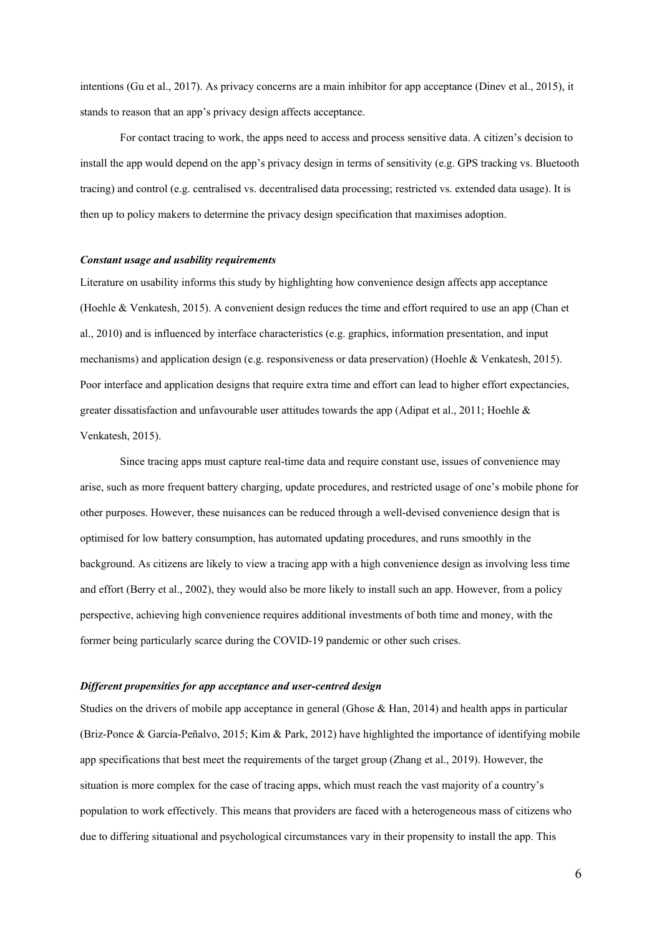intentions (Gu et al., 2017). As privacy concerns are a main inhibitor for app acceptance (Dinev et al., 2015), it stands to reason that an app's privacy design affects acceptance.

For contact tracing to work, the apps need to access and process sensitive data. A citizen's decision to install the app would depend on the app's privacy design in terms of sensitivity (e.g. GPS tracking vs. Bluetooth tracing) and control (e.g. centralised vs. decentralised data processing; restricted vs. extended data usage). It is then up to policy makers to determine the privacy design specification that maximises adoption.

## *Constant usage and usability requirements*

Literature on usability informs this study by highlighting how convenience design affects app acceptance (Hoehle & Venkatesh, 2015). A convenient design reduces the time and effort required to use an app (Chan et al., 2010) and is influenced by interface characteristics (e.g. graphics, information presentation, and input mechanisms) and application design (e.g. responsiveness or data preservation) (Hoehle & Venkatesh, 2015). Poor interface and application designs that require extra time and effort can lead to higher effort expectancies, greater dissatisfaction and unfavourable user attitudes towards the app (Adipat et al., 2011; Hoehle & Venkatesh, 2015).

Since tracing apps must capture real-time data and require constant use, issues of convenience may arise, such as more frequent battery charging, update procedures, and restricted usage of one's mobile phone for other purposes. However, these nuisances can be reduced through a well-devised convenience design that is optimised for low battery consumption, has automated updating procedures, and runs smoothly in the background. As citizens are likely to view a tracing app with a high convenience design as involving less time and effort (Berry et al., 2002), they would also be more likely to install such an app. However, from a policy perspective, achieving high convenience requires additional investments of both time and money, with the former being particularly scarce during the COVID-19 pandemic or other such crises.

# *Different propensities for app acceptance and user-centred design*

Studies on the drivers of mobile app acceptance in general (Ghose & Han, 2014) and health apps in particular (Briz-Ponce & García-Peñalvo, 2015; Kim & Park, 2012) have highlighted the importance of identifying mobile app specifications that best meet the requirements of the target group (Zhang et al., 2019). However, the situation is more complex for the case of tracing apps, which must reach the vast majority of a country's population to work effectively. This means that providers are faced with a heterogeneous mass of citizens who due to differing situational and psychological circumstances vary in their propensity to install the app. This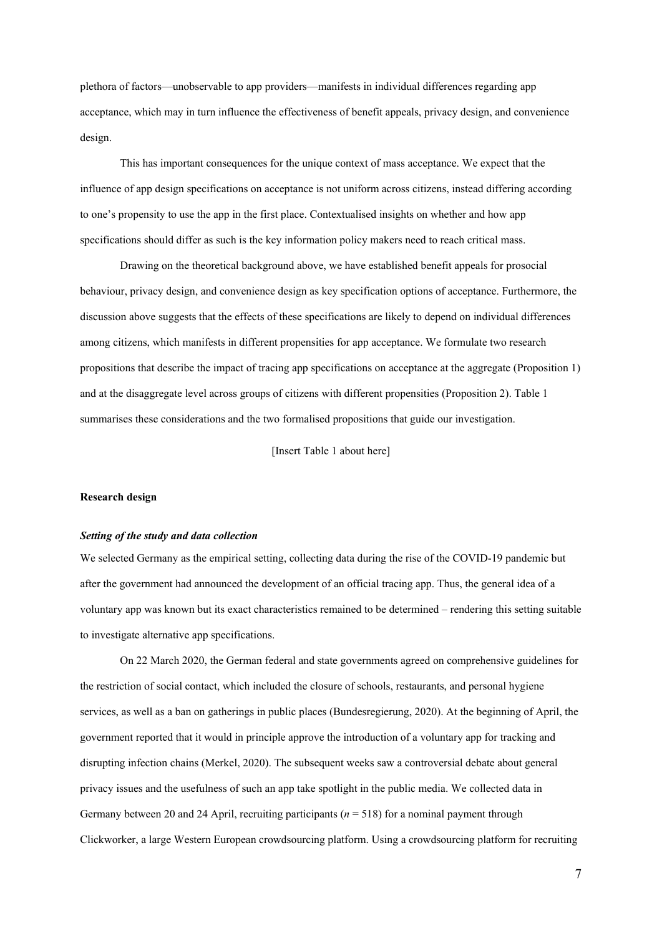plethora of factors—unobservable to app providers—manifests in individual differences regarding app acceptance, which may in turn influence the effectiveness of benefit appeals, privacy design, and convenience design.

This has important consequences for the unique context of mass acceptance. We expect that the influence of app design specifications on acceptance is not uniform across citizens, instead differing according to one's propensity to use the app in the first place. Contextualised insights on whether and how app specifications should differ as such is the key information policy makers need to reach critical mass.

Drawing on the theoretical background above, we have established benefit appeals for prosocial behaviour, privacy design, and convenience design as key specification options of acceptance. Furthermore, the discussion above suggests that the effects of these specifications are likely to depend on individual differences among citizens, which manifests in different propensities for app acceptance. We formulate two research propositions that describe the impact of tracing app specifications on acceptance at the aggregate (Proposition 1) and at the disaggregate level across groups of citizens with different propensities (Proposition 2). Table 1 summarises these considerations and the two formalised propositions that guide our investigation.

[Insert Table 1 about here]

#### **Research design**

#### *Setting of the study and data collection*

We selected Germany as the empirical setting, collecting data during the rise of the COVID-19 pandemic but after the government had announced the development of an official tracing app. Thus, the general idea of a voluntary app was known but its exact characteristics remained to be determined – rendering this setting suitable to investigate alternative app specifications.

On 22 March 2020, the German federal and state governments agreed on comprehensive guidelines for the restriction of social contact, which included the closure of schools, restaurants, and personal hygiene services, as well as a ban on gatherings in public places (Bundesregierung, 2020). At the beginning of April, the government reported that it would in principle approve the introduction of a voluntary app for tracking and disrupting infection chains (Merkel, 2020). The subsequent weeks saw a controversial debate about general privacy issues and the usefulness of such an app take spotlight in the public media. We collected data in Germany between 20 and 24 April, recruiting participants (*n* = 518) for a nominal payment through Clickworker, a large Western European crowdsourcing platform. Using a crowdsourcing platform for recruiting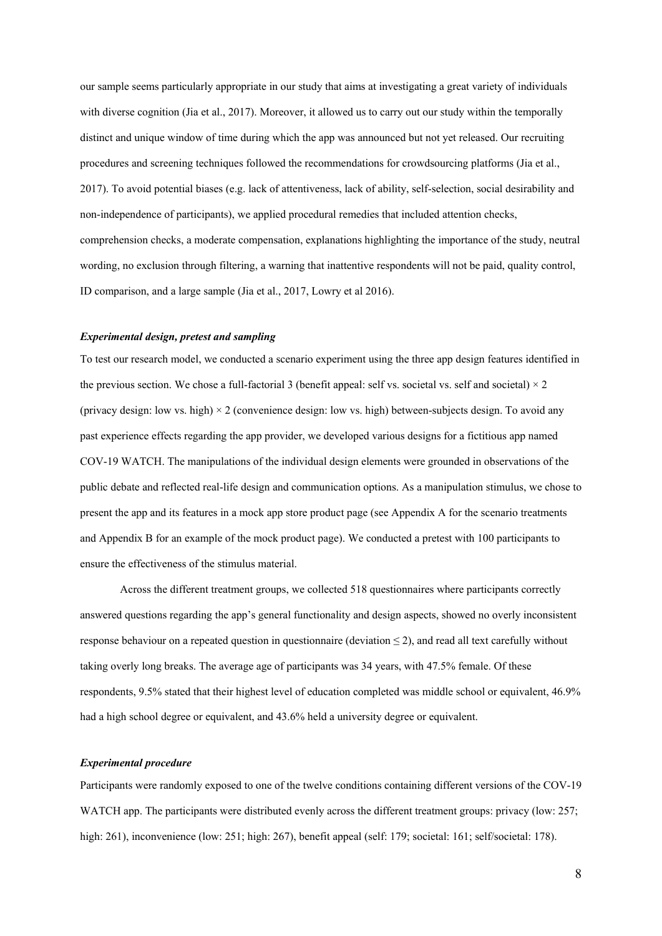our sample seems particularly appropriate in our study that aims at investigating a great variety of individuals with diverse cognition (Jia et al., 2017). Moreover, it allowed us to carry out our study within the temporally distinct and unique window of time during which the app was announced but not yet released. Our recruiting procedures and screening techniques followed the recommendations for crowdsourcing platforms (Jia et al., 2017). To avoid potential biases (e.g. lack of attentiveness, lack of ability, self-selection, social desirability and non-independence of participants), we applied procedural remedies that included attention checks, comprehension checks, a moderate compensation, explanations highlighting the importance of the study, neutral wording, no exclusion through filtering, a warning that inattentive respondents will not be paid, quality control, ID comparison, and a large sample (Jia et al., 2017, Lowry et al 2016).

# *Experimental design, pretest and sampling*

To test our research model, we conducted a scenario experiment using the three app design features identified in the previous section. We chose a full-factorial 3 (benefit appeal: self vs. societal vs. self and societal)  $\times$  2 (privacy design: low vs. high)  $\times$  2 (convenience design: low vs. high) between-subjects design. To avoid any past experience effects regarding the app provider, we developed various designs for a fictitious app named COV-19 WATCH. The manipulations of the individual design elements were grounded in observations of the public debate and reflected real-life design and communication options. As a manipulation stimulus, we chose to present the app and its features in a mock app store product page (see Appendix A for the scenario treatments and Appendix B for an example of the mock product page). We conducted a pretest with 100 participants to ensure the effectiveness of the stimulus material.

Across the different treatment groups, we collected 518 questionnaires where participants correctly answered questions regarding the app's general functionality and design aspects, showed no overly inconsistent response behaviour on a repeated question in questionnaire (deviation  $\leq$  2), and read all text carefully without taking overly long breaks. The average age of participants was 34 years, with 47.5% female. Of these respondents, 9.5% stated that their highest level of education completed was middle school or equivalent, 46.9% had a high school degree or equivalent, and 43.6% held a university degree or equivalent.

## *Experimental procedure*

Participants were randomly exposed to one of the twelve conditions containing different versions of the COV-19 WATCH app. The participants were distributed evenly across the different treatment groups: privacy (low: 257; high: 261), inconvenience (low: 251; high: 267), benefit appeal (self: 179; societal: 161; self/societal: 178).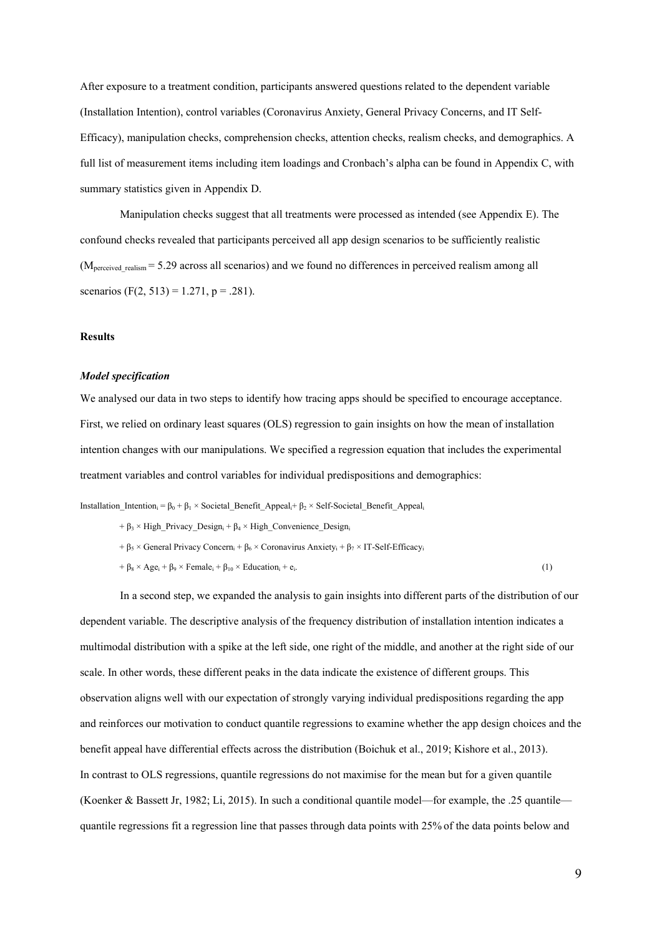After exposure to a treatment condition, participants answered questions related to the dependent variable (Installation Intention), control variables (Coronavirus Anxiety, General Privacy Concerns, and IT Self-Efficacy), manipulation checks, comprehension checks, attention checks, realism checks, and demographics. A full list of measurement items including item loadings and Cronbach's alpha can be found in Appendix C, with summary statistics given in Appendix D.

Manipulation checks suggest that all treatments were processed as intended (see Appendix E). The confound checks revealed that participants perceived all app design scenarios to be sufficiently realistic  $(M<sub>perceived</sub>$ <sub>realism</sub> = 5.29 across all scenarios) and we found no differences in perceived realism among all scenarios (F(2, 513) = 1.271, p = .281).

## **Results**

#### *Model specification*

We analysed our data in two steps to identify how tracing apps should be specified to encourage acceptance. First, we relied on ordinary least squares (OLS) regression to gain insights on how the mean of installation intention changes with our manipulations. We specified a regression equation that includes the experimental treatment variables and control variables for individual predispositions and demographics:

Installation Intention<sub>i</sub> =  $\beta_0 + \beta_1 \times$  Societal Benefit Appeal<sub>i</sub>+  $\beta_2 \times$  Self-Societal Benefit Appeal<sub>i</sub>

- +  $\beta_3$  × High\_Privacy\_Design<sub>i</sub> +  $\beta_4$  × High\_Convenience\_Design<sub>i</sub>
- +  $\beta_5 \times$  General Privacy Concern<sub>i</sub> +  $\beta_6 \times$  Coronavirus Anxiety<sub>i</sub> +  $\beta_7 \times$  IT-Self-Efficacy<sub>i</sub>

 $+ \beta_8 \times \text{Age}_i + \beta_9 \times \text{Female}_i + \beta_{10} \times \text{Education}_i + e_i.$  (1)

In a second step, we expanded the analysis to gain insights into different parts of the distribution of our dependent variable. The descriptive analysis of the frequency distribution of installation intention indicates a multimodal distribution with a spike at the left side, one right of the middle, and another at the right side of our scale. In other words, these different peaks in the data indicate the existence of different groups. This observation aligns well with our expectation of strongly varying individual predispositions regarding the app and reinforces our motivation to conduct quantile regressions to examine whether the app design choices and the benefit appeal have differential effects across the distribution (Boichuk et al., 2019; Kishore et al., 2013). In contrast to OLS regressions, quantile regressions do not maximise for the mean but for a given quantile (Koenker & Bassett Jr, 1982; Li, 2015). In such a conditional quantile model—for example, the .25 quantile quantile regressions fit a regression line that passes through data points with 25% of the data points below and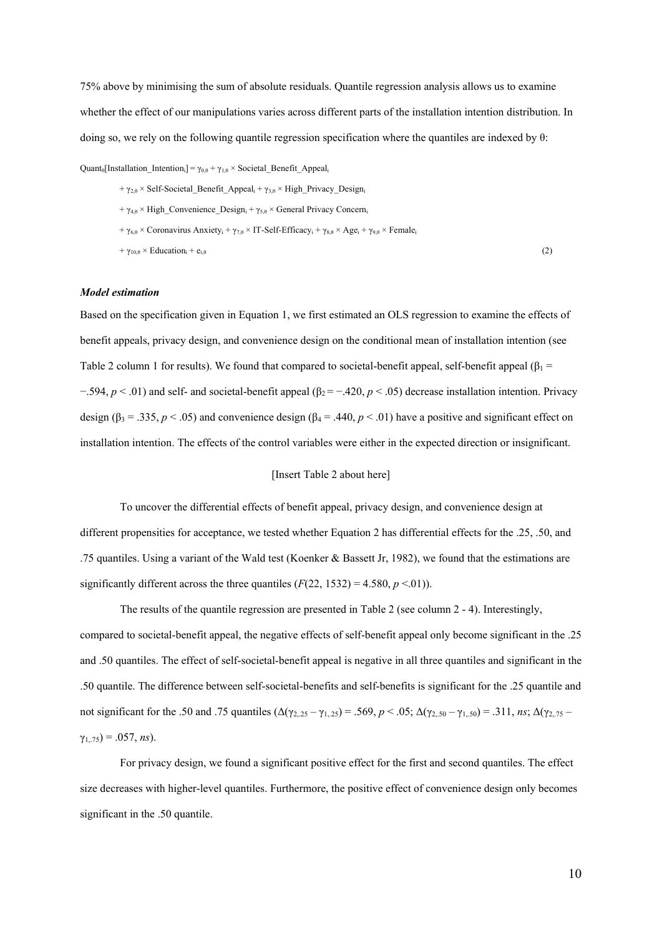75% above by minimising the sum of absolute residuals. Quantile regression analysis allows us to examine whether the effect of our manipulations varies across different parts of the installation intention distribution. In doing so, we rely on the following quantile regression specification where the quantiles are indexed by θ:

Quant<sub>θ</sub>[Installation Intention<sub>i</sub>] =  $\gamma_{0,\theta} + \gamma_{1,\theta} \times$  Societal Benefit Appeal<sub>i</sub>

+  $\gamma_{2,0}$  × Self-Societal\_Benefit\_Appeal<sub>i</sub> +  $\gamma_{3,0}$  × High\_Privacy\_Design<sub>i</sub> +  $\gamma_{4,\theta}$  × High\_Convenience\_Design<sub>i</sub> +  $\gamma_{5,\theta}$  × General Privacy Concern<sub>i</sub> +  $\gamma_{6,\theta} \times$  Coronavirus Anxiety<sub>i</sub> +  $\gamma_{7,\theta} \times$  IT-Self-Efficacy<sub>i</sub> +  $\gamma_{8,\theta} \times$  Age<sub>i</sub> +  $\gamma_{9,\theta} \times$  Female<sub>i</sub>  $+\gamma_{10, \theta} \times \text{Education}_i + \mathbf{e}_{i, \theta}$  (2)

#### *Model estimation*

Based on the specification given in Equation 1, we first estimated an OLS regression to examine the effects of benefit appeals, privacy design, and convenience design on the conditional mean of installation intention (see Table 2 column 1 for results). We found that compared to societal-benefit appeal, self-benefit appeal ( $\beta_1$  = −.594, *p* < .01) and self- and societal-benefit appeal (β<sub>2</sub> = −.420, *p* < .05) decrease installation intention. Privacy design ( $\beta_3 = .335$ ,  $p < .05$ ) and convenience design ( $\beta_4 = .440$ ,  $p < .01$ ) have a positive and significant effect on installation intention. The effects of the control variables were either in the expected direction or insignificant.

# [Insert Table 2 about here]

To uncover the differential effects of benefit appeal, privacy design, and convenience design at different propensities for acceptance, we tested whether Equation 2 has differential effects for the .25, .50, and .75 quantiles. Using a variant of the Wald test (Koenker & Bassett Jr, 1982), we found that the estimations are significantly different across the three quantiles  $(F(22, 1532) = 4.580, p \le 0.01)$ .

The results of the quantile regression are presented in Table 2 (see column 2 - 4). Interestingly, compared to societal-benefit appeal, the negative effects of self-benefit appeal only become significant in the .25 and .50 quantiles. The effect of self-societal-benefit appeal is negative in all three quantiles and significant in the .50 quantile. The difference between self-societal-benefits and self-benefits is significant for the .25 quantile and not significant for the .50 and .75 quantiles (Δ(γ2,.25 – γ1,.25) = .569, *p* < .05; Δ(γ2,.50 – γ1,.50) = .311, *ns*; Δ(γ2,.75 –  $\gamma_{1,75}$ ) = .057, *ns*).

For privacy design, we found a significant positive effect for the first and second quantiles. The effect size decreases with higher-level quantiles. Furthermore, the positive effect of convenience design only becomes significant in the .50 quantile.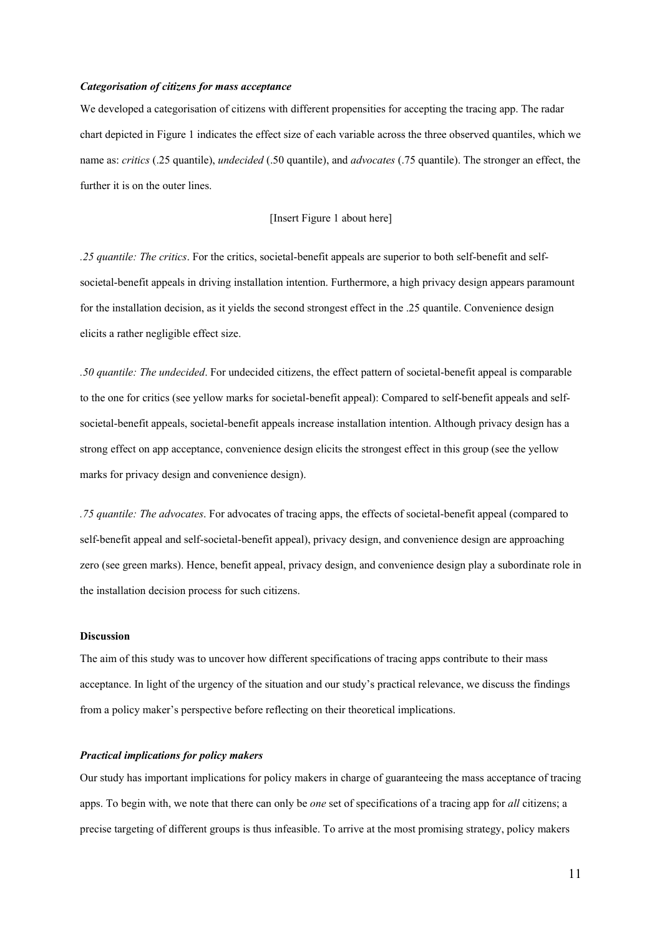#### *Categorisation of citizens for mass acceptance*

We developed a categorisation of citizens with different propensities for accepting the tracing app. The radar chart depicted in Figure 1 indicates the effect size of each variable across the three observed quantiles, which we name as: *critics* (.25 quantile), *undecided* (.50 quantile), and *advocates* (.75 quantile). The stronger an effect, the further it is on the outer lines.

## [Insert Figure 1 about here]

*.25 quantile: The critics*. For the critics, societal-benefit appeals are superior to both self-benefit and selfsocietal-benefit appeals in driving installation intention. Furthermore, a high privacy design appears paramount for the installation decision, as it yields the second strongest effect in the .25 quantile. Convenience design elicits a rather negligible effect size.

*.50 quantile: The undecided*. For undecided citizens, the effect pattern of societal-benefit appeal is comparable to the one for critics (see yellow marks for societal-benefit appeal): Compared to self-benefit appeals and selfsocietal-benefit appeals, societal-benefit appeals increase installation intention. Although privacy design has a strong effect on app acceptance, convenience design elicits the strongest effect in this group (see the yellow marks for privacy design and convenience design).

*.75 quantile: The advocates*. For advocates of tracing apps, the effects of societal-benefit appeal (compared to self-benefit appeal and self-societal-benefit appeal), privacy design, and convenience design are approaching zero (see green marks). Hence, benefit appeal, privacy design, and convenience design play a subordinate role in the installation decision process for such citizens.

#### **Discussion**

The aim of this study was to uncover how different specifications of tracing apps contribute to their mass acceptance. In light of the urgency of the situation and our study's practical relevance, we discuss the findings from a policy maker's perspective before reflecting on their theoretical implications.

# *Practical implications for policy makers*

Our study has important implications for policy makers in charge of guaranteeing the mass acceptance of tracing apps. To begin with, we note that there can only be *one* set of specifications of a tracing app for *all* citizens; a precise targeting of different groups is thus infeasible. To arrive at the most promising strategy, policy makers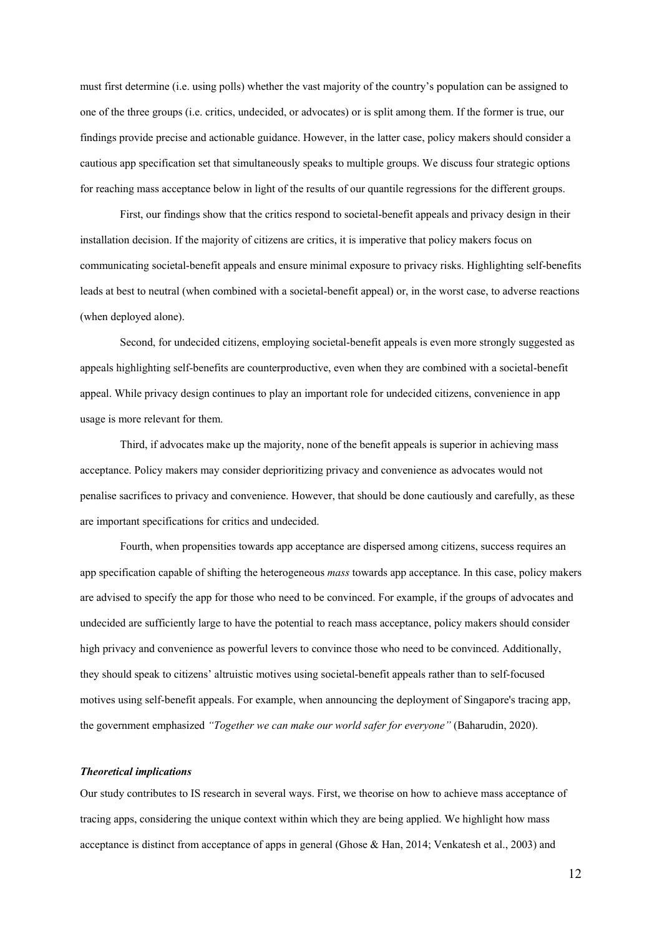must first determine (i.e. using polls) whether the vast majority of the country's population can be assigned to one of the three groups (i.e. critics, undecided, or advocates) or is split among them. If the former is true, our findings provide precise and actionable guidance. However, in the latter case, policy makers should consider a cautious app specification set that simultaneously speaks to multiple groups. We discuss four strategic options for reaching mass acceptance below in light of the results of our quantile regressions for the different groups.

First, our findings show that the critics respond to societal-benefit appeals and privacy design in their installation decision. If the majority of citizens are critics, it is imperative that policy makers focus on communicating societal-benefit appeals and ensure minimal exposure to privacy risks. Highlighting self-benefits leads at best to neutral (when combined with a societal-benefit appeal) or, in the worst case, to adverse reactions (when deployed alone).

Second, for undecided citizens, employing societal-benefit appeals is even more strongly suggested as appeals highlighting self-benefits are counterproductive, even when they are combined with a societal-benefit appeal. While privacy design continues to play an important role for undecided citizens, convenience in app usage is more relevant for them.

Third, if advocates make up the majority, none of the benefit appeals is superior in achieving mass acceptance. Policy makers may consider deprioritizing privacy and convenience as advocates would not penalise sacrifices to privacy and convenience. However, that should be done cautiously and carefully, as these are important specifications for critics and undecided.

Fourth, when propensities towards app acceptance are dispersed among citizens, success requires an app specification capable of shifting the heterogeneous *mass* towards app acceptance. In this case, policy makers are advised to specify the app for those who need to be convinced. For example, if the groups of advocates and undecided are sufficiently large to have the potential to reach mass acceptance, policy makers should consider high privacy and convenience as powerful levers to convince those who need to be convinced. Additionally, they should speak to citizens' altruistic motives using societal-benefit appeals rather than to self-focused motives using self-benefit appeals. For example, when announcing the deployment of Singapore's tracing app, the government emphasized *"Together we can make our world safer for everyone"* (Baharudin, 2020).

## *Theoretical implications*

Our study contributes to IS research in several ways. First, we theorise on how to achieve mass acceptance of tracing apps, considering the unique context within which they are being applied. We highlight how mass acceptance is distinct from acceptance of apps in general (Ghose & Han, 2014; Venkatesh et al., 2003) and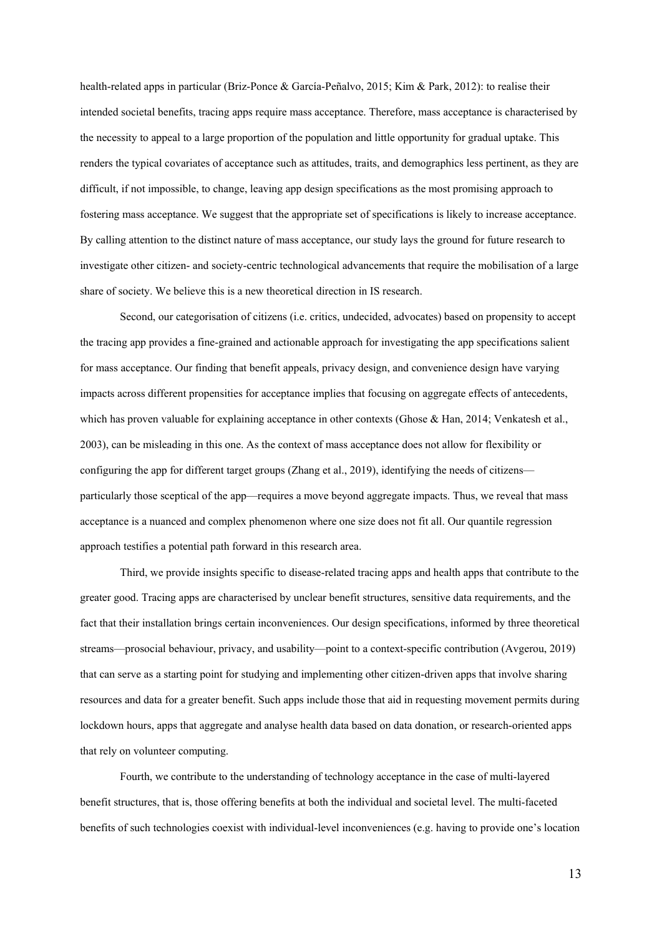health-related apps in particular (Briz-Ponce & García-Peñalvo, 2015; Kim & Park, 2012): to realise their intended societal benefits, tracing apps require mass acceptance. Therefore, mass acceptance is characterised by the necessity to appeal to a large proportion of the population and little opportunity for gradual uptake. This renders the typical covariates of acceptance such as attitudes, traits, and demographics less pertinent, as they are difficult, if not impossible, to change, leaving app design specifications as the most promising approach to fostering mass acceptance. We suggest that the appropriate set of specifications is likely to increase acceptance. By calling attention to the distinct nature of mass acceptance, our study lays the ground for future research to investigate other citizen- and society-centric technological advancements that require the mobilisation of a large share of society. We believe this is a new theoretical direction in IS research.

Second, our categorisation of citizens (i.e. critics, undecided, advocates) based on propensity to accept the tracing app provides a fine-grained and actionable approach for investigating the app specifications salient for mass acceptance. Our finding that benefit appeals, privacy design, and convenience design have varying impacts across different propensities for acceptance implies that focusing on aggregate effects of antecedents, which has proven valuable for explaining acceptance in other contexts (Ghose & Han, 2014; Venkatesh et al., 2003), can be misleading in this one. As the context of mass acceptance does not allow for flexibility or configuring the app for different target groups (Zhang et al., 2019), identifying the needs of citizens particularly those sceptical of the app—requires a move beyond aggregate impacts. Thus, we reveal that mass acceptance is a nuanced and complex phenomenon where one size does not fit all. Our quantile regression approach testifies a potential path forward in this research area.

Third, we provide insights specific to disease-related tracing apps and health apps that contribute to the greater good. Tracing apps are characterised by unclear benefit structures, sensitive data requirements, and the fact that their installation brings certain inconveniences. Our design specifications, informed by three theoretical streams—prosocial behaviour, privacy, and usability—point to a context-specific contribution (Avgerou, 2019) that can serve as a starting point for studying and implementing other citizen-driven apps that involve sharing resources and data for a greater benefit. Such apps include those that aid in requesting movement permits during lockdown hours, apps that aggregate and analyse health data based on data donation, or research-oriented apps that rely on volunteer computing.

Fourth, we contribute to the understanding of technology acceptance in the case of multi-layered benefit structures, that is, those offering benefits at both the individual and societal level. The multi-faceted benefits of such technologies coexist with individual-level inconveniences (e.g. having to provide one's location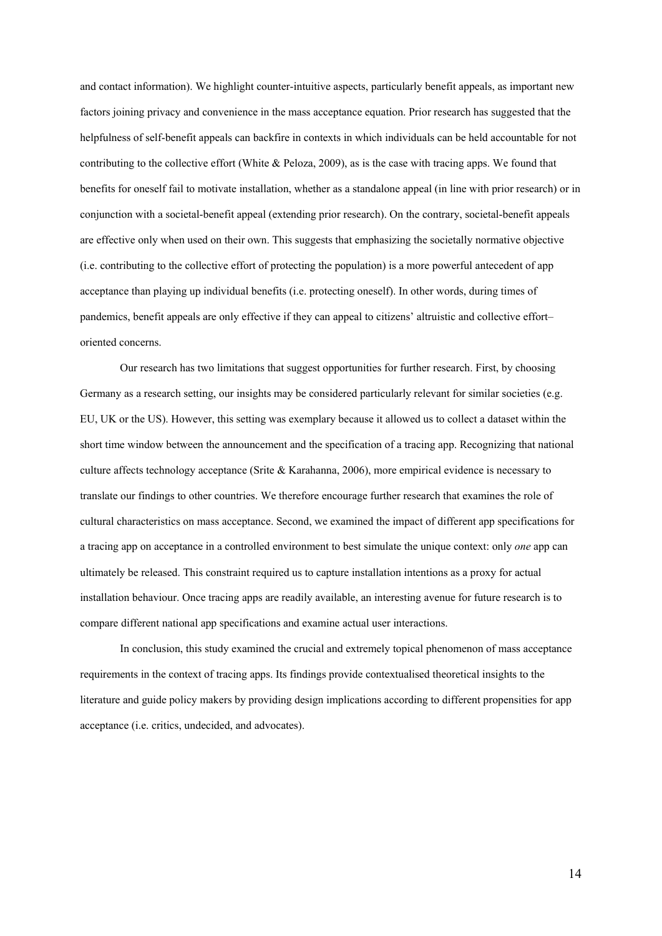and contact information). We highlight counter-intuitive aspects, particularly benefit appeals, as important new factors joining privacy and convenience in the mass acceptance equation. Prior research has suggested that the helpfulness of self-benefit appeals can backfire in contexts in which individuals can be held accountable for not contributing to the collective effort (White & Peloza, 2009), as is the case with tracing apps. We found that benefits for oneself fail to motivate installation, whether as a standalone appeal (in line with prior research) or in conjunction with a societal-benefit appeal (extending prior research). On the contrary, societal-benefit appeals are effective only when used on their own. This suggests that emphasizing the societally normative objective (i.e. contributing to the collective effort of protecting the population) is a more powerful antecedent of app acceptance than playing up individual benefits (i.e. protecting oneself). In other words, during times of pandemics, benefit appeals are only effective if they can appeal to citizens' altruistic and collective effort– oriented concerns.

Our research has two limitations that suggest opportunities for further research. First, by choosing Germany as a research setting, our insights may be considered particularly relevant for similar societies (e.g. EU, UK or the US). However, this setting was exemplary because it allowed us to collect a dataset within the short time window between the announcement and the specification of a tracing app. Recognizing that national culture affects technology acceptance (Srite & Karahanna, 2006), more empirical evidence is necessary to translate our findings to other countries. We therefore encourage further research that examines the role of cultural characteristics on mass acceptance. Second, we examined the impact of different app specifications for a tracing app on acceptance in a controlled environment to best simulate the unique context: only *one* app can ultimately be released. This constraint required us to capture installation intentions as a proxy for actual installation behaviour. Once tracing apps are readily available, an interesting avenue for future research is to compare different national app specifications and examine actual user interactions.

In conclusion, this study examined the crucial and extremely topical phenomenon of mass acceptance requirements in the context of tracing apps. Its findings provide contextualised theoretical insights to the literature and guide policy makers by providing design implications according to different propensities for app acceptance (i.e. critics, undecided, and advocates).

14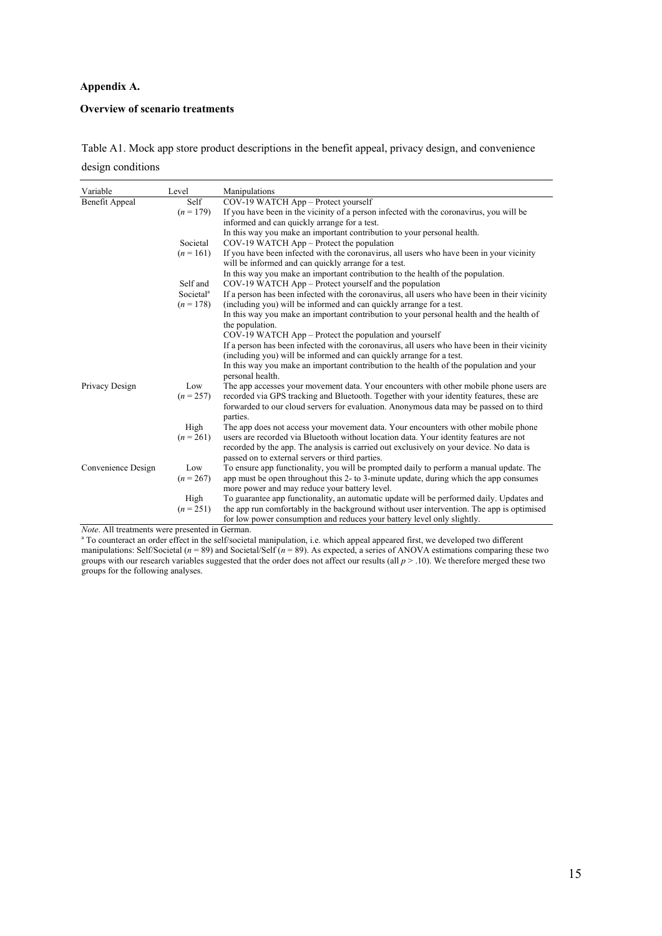# **Appendix A.**

# **Overview of scenario treatments**

Table A1. Mock app store product descriptions in the benefit appeal, privacy design, and convenience design conditions

| Variable           | Level                 | Manipulations                                                                                                                                                                       |
|--------------------|-----------------------|-------------------------------------------------------------------------------------------------------------------------------------------------------------------------------------|
| Benefit Appeal     | Self                  | COV-19 WATCH App - Protect yourself                                                                                                                                                 |
|                    | $(n = 179)$           | If you have been in the vicinity of a person infected with the coronavirus, you will be<br>informed and can quickly arrange for a test.                                             |
|                    |                       | In this way you make an important contribution to your personal health.                                                                                                             |
|                    | Societal              | COV-19 WATCH App – Protect the population                                                                                                                                           |
|                    | $(n = 161)$           | If you have been infected with the coronavirus, all users who have been in your vicinity<br>will be informed and can quickly arrange for a test.                                    |
|                    |                       | In this way you make an important contribution to the health of the population.                                                                                                     |
|                    | Self and              | COV-19 WATCH App - Protect yourself and the population                                                                                                                              |
|                    | Societal <sup>a</sup> | If a person has been infected with the coronavirus, all users who have been in their vicinity                                                                                       |
|                    | $(n = 178)$           | (including you) will be informed and can quickly arrange for a test.                                                                                                                |
|                    |                       | In this way you make an important contribution to your personal health and the health of<br>the population.                                                                         |
|                    |                       | COV-19 WATCH App – Protect the population and yourself                                                                                                                              |
|                    |                       | If a person has been infected with the coronavirus, all users who have been in their vicinity                                                                                       |
|                    |                       | (including you) will be informed and can quickly arrange for a test.                                                                                                                |
|                    |                       | In this way you make an important contribution to the health of the population and your<br>personal health.                                                                         |
| Privacy Design     | Low                   | The app accesses your movement data. Your encounters with other mobile phone users are                                                                                              |
|                    | $(n = 257)$           | recorded via GPS tracking and Bluetooth. Together with your identity features, these are<br>forwarded to our cloud servers for evaluation. Anonymous data may be passed on to third |
|                    |                       | parties.                                                                                                                                                                            |
|                    | High                  | The app does not access your movement data. Your encounters with other mobile phone                                                                                                 |
|                    | $(n = 261)$           | users are recorded via Bluetooth without location data. Your identity features are not<br>recorded by the app. The analysis is carried out exclusively on your device. No data is   |
|                    |                       | passed on to external servers or third parties.                                                                                                                                     |
| Convenience Design | Low                   | To ensure app functionality, you will be prompted daily to perform a manual update. The                                                                                             |
|                    | $(n = 267)$           | app must be open throughout this 2- to 3-minute update, during which the app consumes<br>more power and may reduce your battery level.                                              |
|                    | High                  | To guarantee app functionality, an automatic update will be performed daily. Updates and                                                                                            |
|                    | $(n = 251)$           | the app run comfortably in the background without user intervention. The app is optimised                                                                                           |
|                    |                       | for low power consumption and reduces your battery level only slightly.                                                                                                             |

*Note*. All treatments were presented in German.

<sup>a</sup> To counteract an order effect in the self/societal manipulation, i.e. which appeal appeared first, we developed two different manipulations: Self/Societal (*n* = 89) and Societal/Self (*n* = 89). As expected, a series of ANOVA estimations comparing these two groups with our research variables suggested that the order does not affect our results (all *p* > .10). We therefore merged these two groups for the following analyses.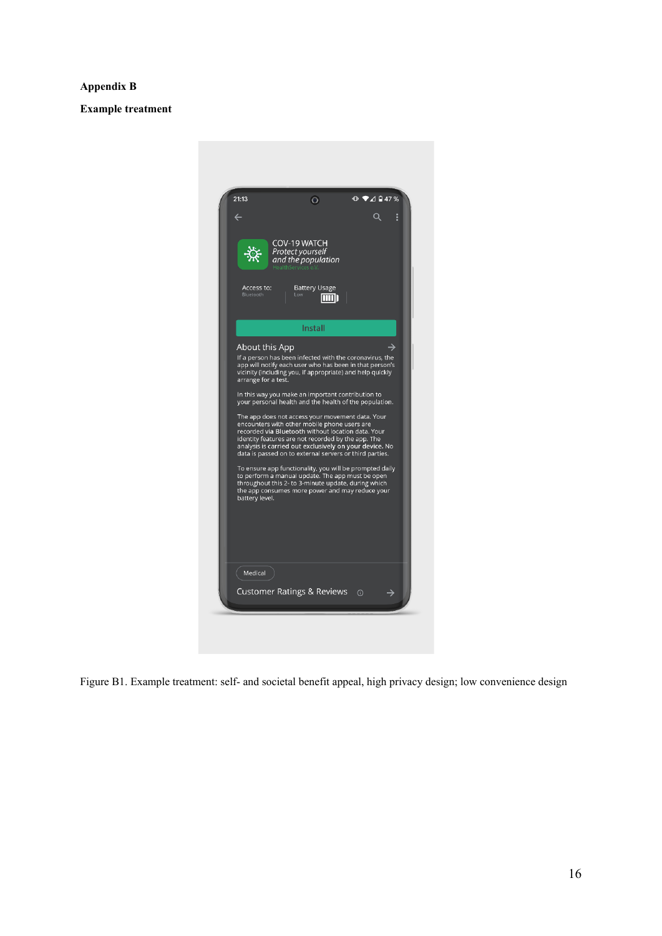# **Appendix B**

**Example treatment**



Figure B1. Example treatment: self- and societal benefit appeal, high privacy design; low convenience design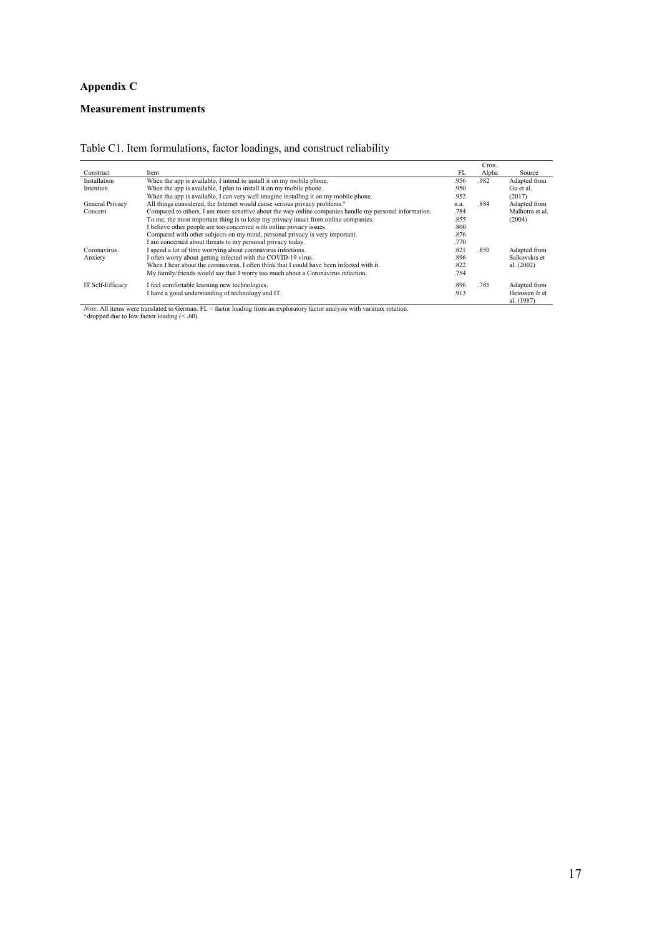# **Appendix C**

# **Measurement instruments**

|                  |                                                                                                        |      | Cron. |                 |
|------------------|--------------------------------------------------------------------------------------------------------|------|-------|-----------------|
| Construct        | Item                                                                                                   | FL   | Alpha | Source          |
| Installation     | When the app is available, I intend to install it on my mobile phone.                                  | .956 | .982  | Adapted from    |
| Intention        | When the app is available, I plan to install it on my mobile phone.                                    | .950 |       | Gu et al.       |
|                  | When the app is available, I can very well imagine installing it on my mobile phone.                   | .952 |       | (2017)          |
| General Privacy  | All things considered, the Internet would cause serious privacy problems. <sup>a</sup>                 | n.a. | .884  | Adapted from    |
| Concern          | Compared to others, I am more sensitive about the way online companies handle my personal information. | .784 |       | Malhotra et al. |
|                  | To me, the most important thing is to keep my privacy intact from online companies.                    | .855 |       | (2004)          |
|                  | I believe other people are too concerned with online privacy issues.                                   | .800 |       |                 |
|                  | Compared with other subjects on my mind, personal privacy is very important.                           | .876 |       |                 |
|                  | I am concerned about threats to my personal privacy today.                                             | .770 |       |                 |
| Coronavirus      | I spend a lot of time worrying about coronavirus infections.                                           | .821 | .850  | Adapted from    |
| Anxiety          | I often worry about getting infected with the COVID-19 virus.                                          | .896 |       | Salkovskis et   |
|                  | When I hear about the coronavirus, I often think that I could have been infected with it.              | .822 |       | al. (2002)      |
|                  | My family/friends would say that I worry too much about a Coronavirus infection.                       | .754 |       |                 |
| IT Self-Efficacy | I feel comfortable learning new technologies.                                                          | .896 | .785  | Adapted from    |
|                  | I have a good understanding of technology and IT.                                                      | .913 |       | Heinssen Jr et  |
|                  |                                                                                                        |      |       | al. (1987)      |

*Note*. All items were translated to German. FL = factor loading from an exploratory factor analysis with varimax rotation. a dropped due to low factor loading (< .60).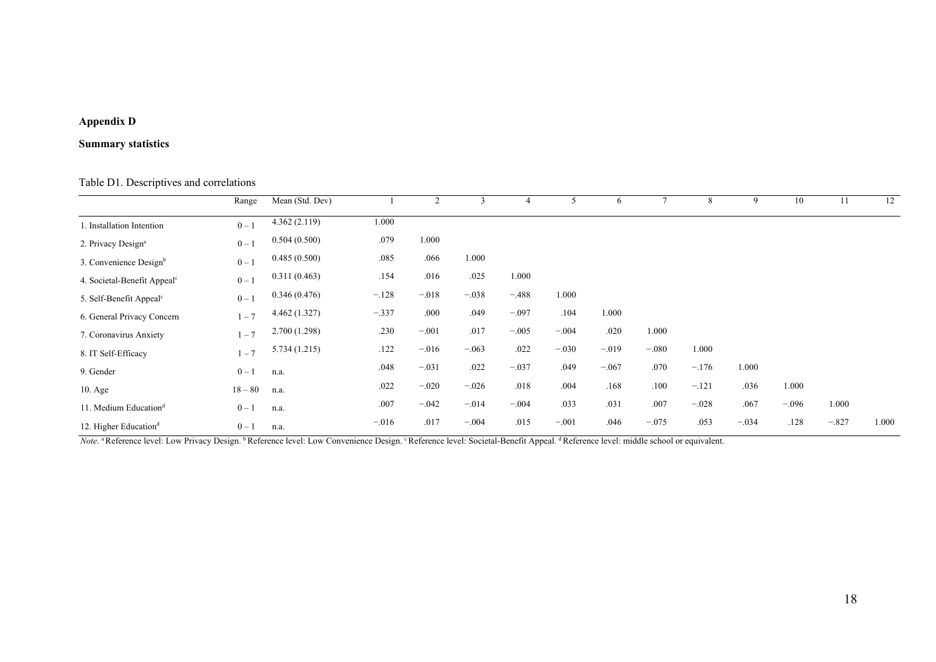# **Appendix D**

# **Summary statistics**

# Table D1. Descriptives and correlations

|                                         | Range   | Mean (Std. Dev) |         | 2       | 3       |         | 5       | 6       |         | 8       | 9       | 10      | 11      | 12    |
|-----------------------------------------|---------|-----------------|---------|---------|---------|---------|---------|---------|---------|---------|---------|---------|---------|-------|
| 1. Installation Intention               | $0 - 1$ | 4.362(2.119)    | 1.000   |         |         |         |         |         |         |         |         |         |         |       |
| 2. Privacy Design <sup>a</sup>          | $0 - 1$ | 0.504(0.500)    | .079    | 1.000   |         |         |         |         |         |         |         |         |         |       |
| 3. Convenience Design <sup>b</sup>      | $0 - 1$ | 0.485(0.500)    | .085    | .066    | 1.000   |         |         |         |         |         |         |         |         |       |
| 4. Societal-Benefit Appeal <sup>c</sup> | $0 - 1$ | 0.311(0.463)    | .154    | .016    | .025    | 1.000   |         |         |         |         |         |         |         |       |
| 5. Self-Benefit Appeal <sup>c</sup>     | $0 - 1$ | 0.346(0.476)    | $-.128$ | $-.018$ | $-.038$ | $-.488$ | 1.000   |         |         |         |         |         |         |       |
| 6. General Privacy Concern              | $1 - 7$ | 4.462(1.327)    | $-.337$ | .000    | .049    | $-.097$ | .104    | 1.000   |         |         |         |         |         |       |
| 7. Coronavirus Anxiety                  | $-7$    | 2.700(1.298)    | .230    | $-.001$ | .017    | $-.005$ | $-.004$ | .020    | 1.000   |         |         |         |         |       |
| 8. IT Self-Efficacy                     | $1 - 7$ | 5.734(1.215)    | .122    | $-.016$ | $-.063$ | .022    | $-.030$ | $-.019$ | $-.080$ | 1.000   |         |         |         |       |
| 9. Gender                               | $0 - 1$ | n.a.            | .048    | $-.031$ | .022    | $-.037$ | .049    | $-.067$ | .070    | $-.176$ | 1.000   |         |         |       |
| $10. \text{Age}$                        | $18-80$ | n.a.            | .022    | $-.020$ | $-.026$ | .018    | .004    | .168    | .100    | $-.121$ | .036    | 1.000   |         |       |
| 11. Medium Education <sup>d</sup>       | $0-1$   | n.a.            | .007    | $-.042$ | $-.014$ | $-.004$ | .033    | .031    | .007    | $-.028$ | .067    | $-.096$ | 1.000   |       |
| 12. Higher Education <sup>d</sup>       | $0 - 1$ | n.a.            | $-.016$ | .017    | $-.004$ | .015    | $-.001$ | .046    | $-.075$ | .053    | $-.034$ | .128    | $-.827$ | 1.000 |

*Note*. <sup>a</sup> Reference level: Low Privacy Design. <sup>b</sup> Reference level: Low Convenience Design. <sup>c</sup> Reference level: Societal-Benefit Appeal. <sup>d</sup> Reference level: middle school or equivalent.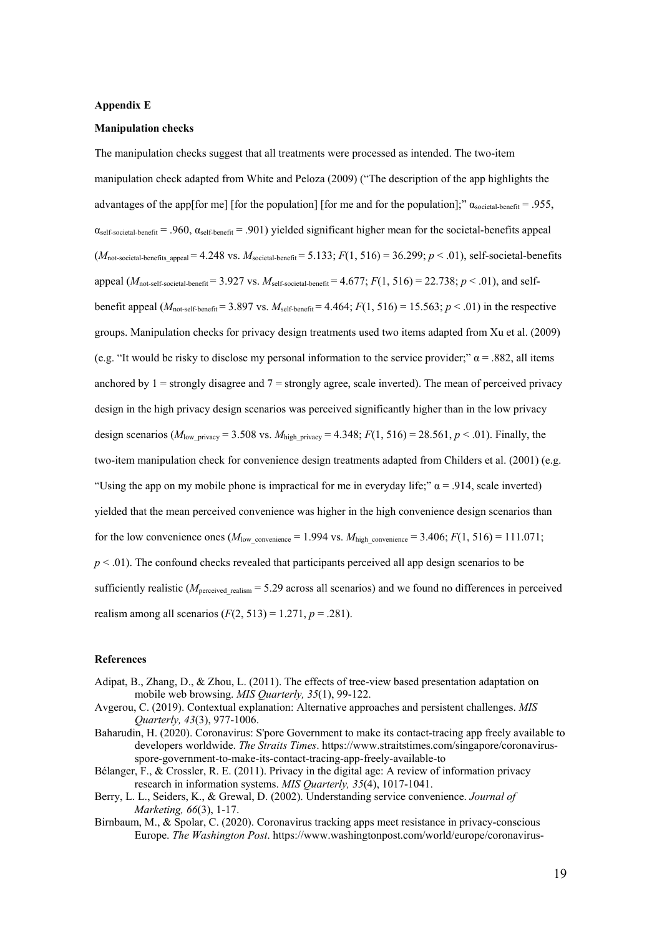#### **Appendix E**

## **Manipulation checks**

The manipulation checks suggest that all treatments were processed as intended. The two-item manipulation check adapted from White and Peloza (2009) ("The description of the app highlights the advantages of the app[for me] [for the population] [for me and for the population];"  $\alpha_{\text{social-herfit}} = .955$ ,  $\alpha_{\text{self-societal-benefit}} = .960$ ,  $\alpha_{\text{self-henefit}} = .901$ ) yielded significant higher mean for the societal-benefits appeal  $(M_{\text{not-social-benefits}appeak} = 4.248 \text{ vs. } M_{\text{social-benefit}} = 5.133; F(1, 516) = 36.299; p < .01$ ), self-societal-benefits appeal ( $M_{\text{not-self-social-beneff}} = 3.927$  vs.  $M_{\text{self-social-beneff}} = 4.677$ ;  $F(1, 516) = 22.738$ ;  $p < .01$ ), and selfbenefit appeal  $(M_{\text{not-self-beneff}} = 3.897 \text{ vs. } M_{\text{self-beneff}} = 4.464; F(1, 516) = 15.563; p < .01$  in the respective groups. Manipulation checks for privacy design treatments used two items adapted from Xu et al. (2009) (e.g. "It would be risky to disclose my personal information to the service provider;"  $\alpha$  = .882, all items anchored by  $1 =$  strongly disagree and  $7 =$  strongly agree, scale inverted). The mean of perceived privacy design in the high privacy design scenarios was perceived significantly higher than in the low privacy design scenarios ( $M_{\text{low privacy}} = 3.508$  vs.  $M_{\text{high privacy}} = 4.348$ ;  $F(1, 516) = 28.561$ ,  $p < .01$ ). Finally, the two-item manipulation check for convenience design treatments adapted from Childers et al. (2001) (e.g. "Using the app on my mobile phone is impractical for me in everyday life;"  $\alpha$  = .914, scale inverted) yielded that the mean perceived convenience was higher in the high convenience design scenarios than for the low convenience ones  $(M_{\text{low convenience}} = 1.994 \text{ vs. } M_{\text{high convenience}} = 3.406; F(1, 516) = 111.071;$  $p < .01$ ). The confound checks revealed that participants perceived all app design scenarios to be sufficiently realistic ( $M<sub>perceived</sub>$ <sub>realism</sub> = 5.29 across all scenarios) and we found no differences in perceived realism among all scenarios  $(F(2, 513) = 1.271, p = .281)$ .

#### **References**

- Adipat, B., Zhang, D., & Zhou, L. (2011). The effects of tree-view based presentation adaptation on mobile web browsing. *MIS Quarterly, 35*(1), 99-122.
- Avgerou, C. (2019). Contextual explanation: Alternative approaches and persistent challenges. *MIS Quarterly, 43*(3), 977-1006.
- Baharudin, H. (2020). Coronavirus: S'pore Government to make its contact-tracing app freely available to developers worldwide. *The Straits Times*. https://www.straitstimes.com/singapore/coronavirusspore-government-to-make-its-contact-tracing-app-freely-available-to
- Bélanger, F., & Crossler, R. E. (2011). Privacy in the digital age: A review of information privacy research in information systems. *MIS Quarterly, 35*(4), 1017-1041.
- Berry, L. L., Seiders, K., & Grewal, D. (2002). Understanding service convenience. *Journal of Marketing, 66*(3), 1-17.
- Birnbaum, M., & Spolar, C. (2020). Coronavirus tracking apps meet resistance in privacy-conscious Europe. *The Washington Post*. https://www.washingtonpost.com/world/europe/coronavirus-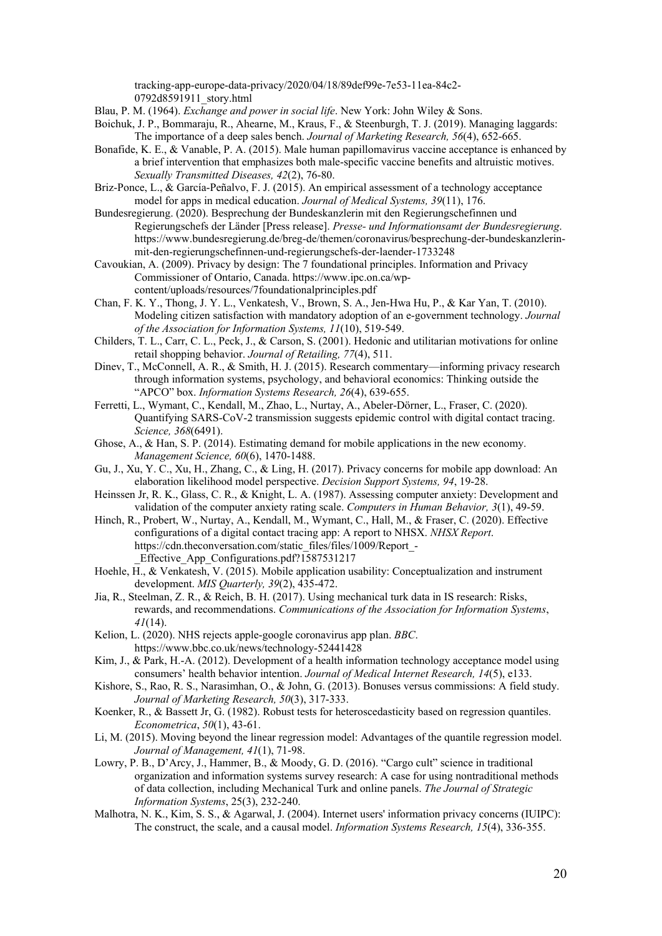tracking-app-europe-data-privacy/2020/04/18/89def99e-7e53-11ea-84c2- 0792d8591911\_story.html

Blau, P. M. (1964). *Exchange and power in social life*. New York: John Wiley & Sons.

- Boichuk, J. P., Bommaraju, R., Ahearne, M., Kraus, F., & Steenburgh, T. J. (2019). Managing laggards: The importance of a deep sales bench. *Journal of Marketing Research, 56*(4), 652-665.
- Bonafide, K. E., & Vanable, P. A. (2015). Male human papillomavirus vaccine acceptance is enhanced by a brief intervention that emphasizes both male-specific vaccine benefits and altruistic motives. *Sexually Transmitted Diseases, 42*(2), 76-80.
- Briz-Ponce, L., & García-Peñalvo, F. J. (2015). An empirical assessment of a technology acceptance model for apps in medical education. *Journal of Medical Systems, 39*(11), 176.
- Bundesregierung. (2020). Besprechung der Bundeskanzlerin mit den Regierungschefinnen und Regierungschefs der Länder [Press release]. *Presse- und Informationsamt der Bundesregierung*. https://www.bundesregierung.de/breg-de/themen/coronavirus/besprechung-der-bundeskanzlerinmit-den-regierungschefinnen-und-regierungschefs-der-laender-1733248
- Cavoukian, A. (2009). Privacy by design: The 7 foundational principles. Information and Privacy Commissioner of Ontario, Canada. https://www.ipc.on.ca/wpcontent/uploads/resources/7foundationalprinciples.pdf
- Chan, F. K. Y., Thong, J. Y. L., Venkatesh, V., Brown, S. A., Jen-Hwa Hu, P., & Kar Yan, T. (2010). Modeling citizen satisfaction with mandatory adoption of an e-government technology. *Journal of the Association for Information Systems, 11*(10), 519-549.
- Childers, T. L., Carr, C. L., Peck, J., & Carson, S. (2001). Hedonic and utilitarian motivations for online retail shopping behavior. *Journal of Retailing, 77*(4), 511.
- Dinev, T., McConnell, A. R., & Smith, H. J. (2015). Research commentary—informing privacy research through information systems, psychology, and behavioral economics: Thinking outside the "APCO" box. *Information Systems Research, 26*(4), 639-655.
- Ferretti, L., Wymant, C., Kendall, M., Zhao, L., Nurtay, A., Abeler-Dörner, L., Fraser, C. (2020). Quantifying SARS-CoV-2 transmission suggests epidemic control with digital contact tracing. *Science, 368*(6491).
- Ghose, A., & Han, S. P. (2014). Estimating demand for mobile applications in the new economy. *Management Science, 60*(6), 1470-1488.
- Gu, J., Xu, Y. C., Xu, H., Zhang, C., & Ling, H. (2017). Privacy concerns for mobile app download: An elaboration likelihood model perspective. *Decision Support Systems, 94*, 19-28.
- Heinssen Jr, R. K., Glass, C. R., & Knight, L. A. (1987). Assessing computer anxiety: Development and validation of the computer anxiety rating scale. *Computers in Human Behavior, 3*(1), 49-59.
- Hinch, R., Probert, W., Nurtay, A., Kendall, M., Wymant, C., Hall, M., & Fraser, C. (2020). Effective configurations of a digital contact tracing app: A report to NHSX. *NHSX Report*. https://cdn.theconversation.com/static\_files/files/1009/Report\_- \_Effective\_App\_Configurations.pdf?1587531217
- Hoehle, H., & Venkatesh, V. (2015). Mobile application usability: Conceptualization and instrument development. *MIS Quarterly, 39*(2), 435-472.
- Jia, R., Steelman, Z. R., & Reich, B. H. (2017). Using mechanical turk data in IS research: Risks, rewards, and recommendations. *Communications of the Association for Information Systems*, *41*(14).
- Kelion, L. (2020). NHS rejects apple-google coronavirus app plan. *BBC*. https://www.bbc.co.uk/news/technology-52441428
- Kim, J., & Park, H.-A. (2012). Development of a health information technology acceptance model using consumers' health behavior intention. *Journal of Medical Internet Research, 14*(5), e133.
- Kishore, S., Rao, R. S., Narasimhan, O., & John, G. (2013). Bonuses versus commissions: A field study. *Journal of Marketing Research, 50*(3), 317-333.
- Koenker, R., & Bassett Jr, G. (1982). Robust tests for heteroscedasticity based on regression quantiles. *Econometrica*, *50*(1), 43-61.
- Li, M. (2015). Moving beyond the linear regression model: Advantages of the quantile regression model. *Journal of Management, 41*(1), 71-98.
- Lowry, P. B., D'Arcy, J., Hammer, B., & Moody, G. D. (2016). "Cargo cult" science in traditional organization and information systems survey research: A case for using nontraditional methods of data collection, including Mechanical Turk and online panels. *The Journal of Strategic Information Systems*, 25(3), 232-240.
- Malhotra, N. K., Kim, S. S., & Agarwal, J. (2004). Internet users' information privacy concerns (IUIPC): The construct, the scale, and a causal model. *Information Systems Research, 15*(4), 336-355.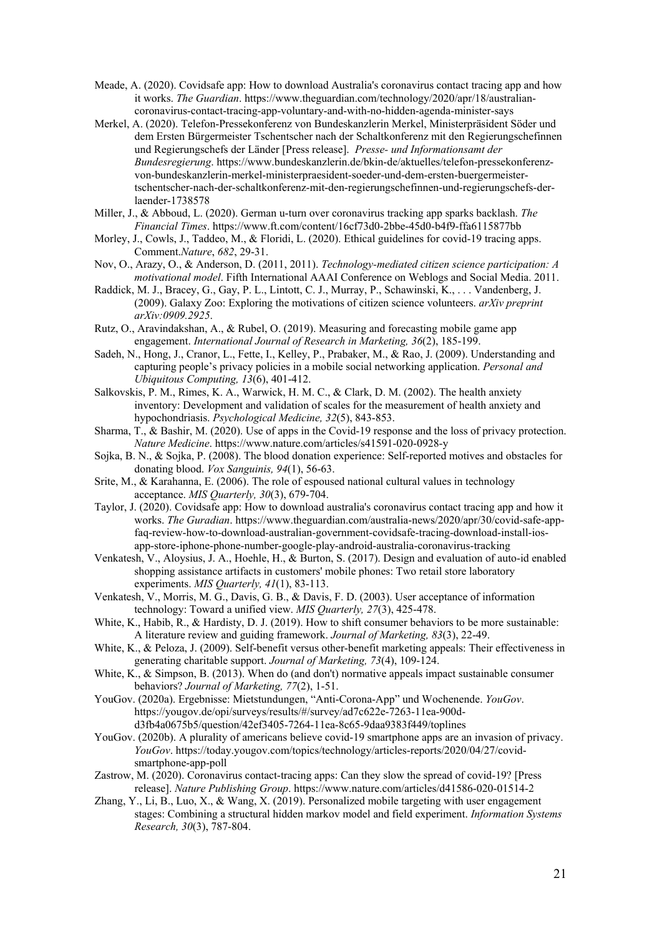- Meade, A. (2020). Covidsafe app: How to download Australia's coronavirus contact tracing app and how it works. *The Guardian*. https://www.theguardian.com/technology/2020/apr/18/australiancoronavirus-contact-tracing-app-voluntary-and-with-no-hidden-agenda-minister-says
- Merkel, A. (2020). Telefon-Pressekonferenz von Bundeskanzlerin Merkel, Ministerpräsident Söder und dem Ersten Bürgermeister Tschentscher nach der Schaltkonferenz mit den Regierungschefinnen und Regierungschefs der Länder [Press release]. *Presse- und Informationsamt der Bundesregierung*. https://www.bundeskanzlerin.de/bkin-de/aktuelles/telefon-pressekonferenzvon-bundeskanzlerin-merkel-ministerpraesident-soeder-und-dem-ersten-buergermeistertschentscher-nach-der-schaltkonferenz-mit-den-regierungschefinnen-und-regierungschefs-derlaender-1738578
- Miller, J., & Abboud, L. (2020). German u-turn over coronavirus tracking app sparks backlash. *The Financial Times*. https://www.ft.com/content/16cf73d0-2bbe-45d0-b4f9-ffa6115877bb
- Morley, J., Cowls, J., Taddeo, M., & Floridi, L. (2020). Ethical guidelines for covid-19 tracing apps. Comment.*Nature*, *682*, 29-31.
- Nov, O., Arazy, O., & Anderson, D. (2011, 2011). *Technology-mediated citizen science participation: A motivational model*. Fifth International AAAI Conference on Weblogs and Social Media. 2011.
- Raddick, M. J., Bracey, G., Gay, P. L., Lintott, C. J., Murray, P., Schawinski, K., . . . Vandenberg, J. (2009). Galaxy Zoo: Exploring the motivations of citizen science volunteers. *arXiv preprint arXiv:0909.2925*.
- Rutz, O., Aravindakshan, A., & Rubel, O. (2019). Measuring and forecasting mobile game app engagement. *International Journal of Research in Marketing, 36*(2), 185-199.
- Sadeh, N., Hong, J., Cranor, L., Fette, I., Kelley, P., Prabaker, M., & Rao, J. (2009). Understanding and capturing people's privacy policies in a mobile social networking application. *Personal and Ubiquitous Computing, 13*(6), 401-412.
- Salkovskis, P. M., Rimes, K. A., Warwick, H. M. C., & Clark, D. M. (2002). The health anxiety inventory: Development and validation of scales for the measurement of health anxiety and hypochondriasis. *Psychological Medicine, 32*(5), 843-853.
- Sharma, T., & Bashir, M. (2020). Use of apps in the Covid-19 response and the loss of privacy protection. *Nature Medicine*. https://www.nature.com/articles/s41591-020-0928-y
- Sojka, B. N., & Sojka, P. (2008). The blood donation experience: Self-reported motives and obstacles for donating blood. *Vox Sanguinis, 94*(1), 56-63.
- Srite, M., & Karahanna, E. (2006). The role of espoused national cultural values in technology acceptance. *MIS Quarterly, 30*(3), 679-704.
- Taylor, J. (2020). Covidsafe app: How to download australia's coronavirus contact tracing app and how it works. *The Guradian*. https://www.theguardian.com/australia-news/2020/apr/30/covid-safe-appfaq-review-how-to-download-australian-government-covidsafe-tracing-download-install-iosapp-store-iphone-phone-number-google-play-android-australia-coronavirus-tracking
- Venkatesh, V., Aloysius, J. A., Hoehle, H., & Burton, S. (2017). Design and evaluation of auto-id enabled shopping assistance artifacts in customers' mobile phones: Two retail store laboratory experiments. *MIS Quarterly, 41*(1), 83-113.
- Venkatesh, V., Morris, M. G., Davis, G. B., & Davis, F. D. (2003). User acceptance of information technology: Toward a unified view. *MIS Quarterly, 27*(3), 425-478.
- White, K., Habib, R., & Hardisty, D. J. (2019). How to shift consumer behaviors to be more sustainable: A literature review and guiding framework. *Journal of Marketing, 83*(3), 22-49.
- White, K., & Peloza, J. (2009). Self-benefit versus other-benefit marketing appeals: Their effectiveness in generating charitable support. *Journal of Marketing, 73*(4), 109-124.
- White, K., & Simpson, B. (2013). When do (and don't) normative appeals impact sustainable consumer behaviors? *Journal of Marketing, 77*(2), 1-51.
- YouGov. (2020a). Ergebnisse: Mietstundungen, "Anti-Corona-App" und Wochenende. *YouGov*. https://yougov.de/opi/surveys/results/#/survey/ad7c622e-7263-11ea-900dd3fb4a0675b5/question/42ef3405-7264-11ea-8c65-9daa9383f449/toplines
- YouGov. (2020b). A plurality of americans believe covid-19 smartphone apps are an invasion of privacy. *YouGov*. https://today.yougov.com/topics/technology/articles-reports/2020/04/27/covidsmartphone-app-poll
- Zastrow, M. (2020). Coronavirus contact-tracing apps: Can they slow the spread of covid-19? [Press release]. *Nature Publishing Group*. https://www.nature.com/articles/d41586-020-01514-2
- Zhang, Y., Li, B., Luo, X., & Wang, X. (2019). Personalized mobile targeting with user engagement stages: Combining a structural hidden markov model and field experiment. *Information Systems Research, 30*(3), 787-804.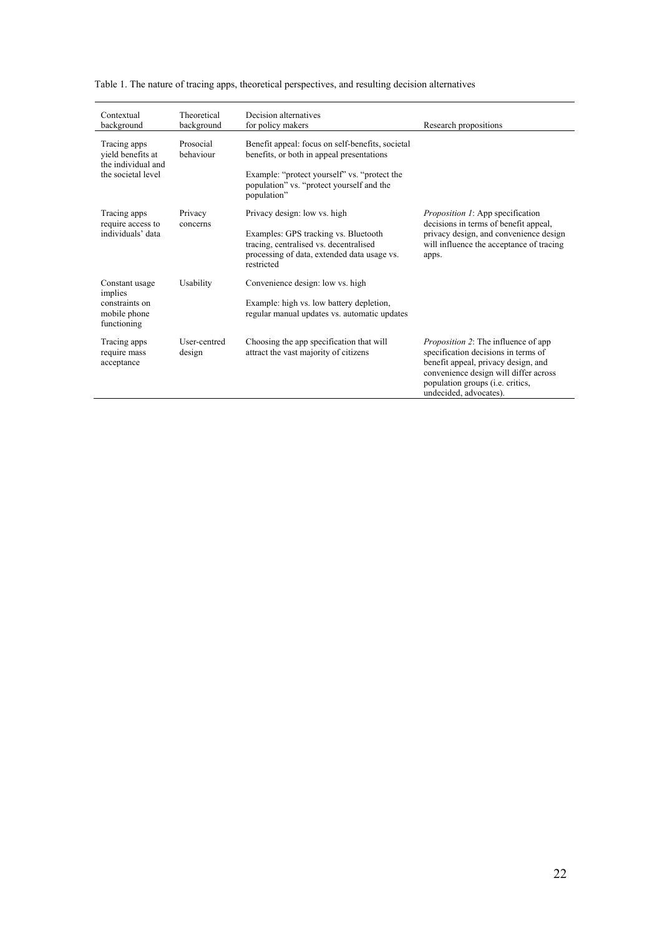| Contextual<br>background                                                      | Theoretical<br>background | Decision alternatives<br>for policy makers                                                                                                                                                                | Research propositions                                                                                                                                                                                                           |  |  |
|-------------------------------------------------------------------------------|---------------------------|-----------------------------------------------------------------------------------------------------------------------------------------------------------------------------------------------------------|---------------------------------------------------------------------------------------------------------------------------------------------------------------------------------------------------------------------------------|--|--|
| Tracing apps<br>yield benefits at<br>the individual and<br>the societal level | Prosocial<br>behaviour    | Benefit appeal: focus on self-benefits, societal<br>benefits, or both in appeal presentations<br>Example: "protect yourself" vs. "protect the<br>population" vs. "protect yourself and the<br>population" |                                                                                                                                                                                                                                 |  |  |
| Tracing apps<br>require access to<br>individuals' data                        | Privacy<br>concerns       | Privacy design: low vs. high<br>Examples: GPS tracking vs. Bluetooth<br>tracing, centralised vs. decentralised<br>processing of data, extended data usage vs.<br>restricted                               | <i>Proposition 1:</i> App specification<br>decisions in terms of benefit appeal,<br>privacy design, and convenience design<br>will influence the acceptance of tracing<br>apps.                                                 |  |  |
| Constant usage<br>implies<br>constraints on<br>mobile phone<br>functioning    | Usability                 | Convenience design: low vs. high<br>Example: high vs. low battery depletion,<br>regular manual updates vs. automatic updates                                                                              |                                                                                                                                                                                                                                 |  |  |
| Tracing apps<br>require mass<br>acceptance                                    | User-centred<br>design    | Choosing the app specification that will<br>attract the vast majority of citizens                                                                                                                         | <i>Proposition 2:</i> The influence of app<br>specification decisions in terms of<br>benefit appeal, privacy design, and<br>convenience design will differ across<br>population groups (i.e. critics,<br>undecided, advocates). |  |  |

Table 1. The nature of tracing apps, theoretical perspectives, and resulting decision alternatives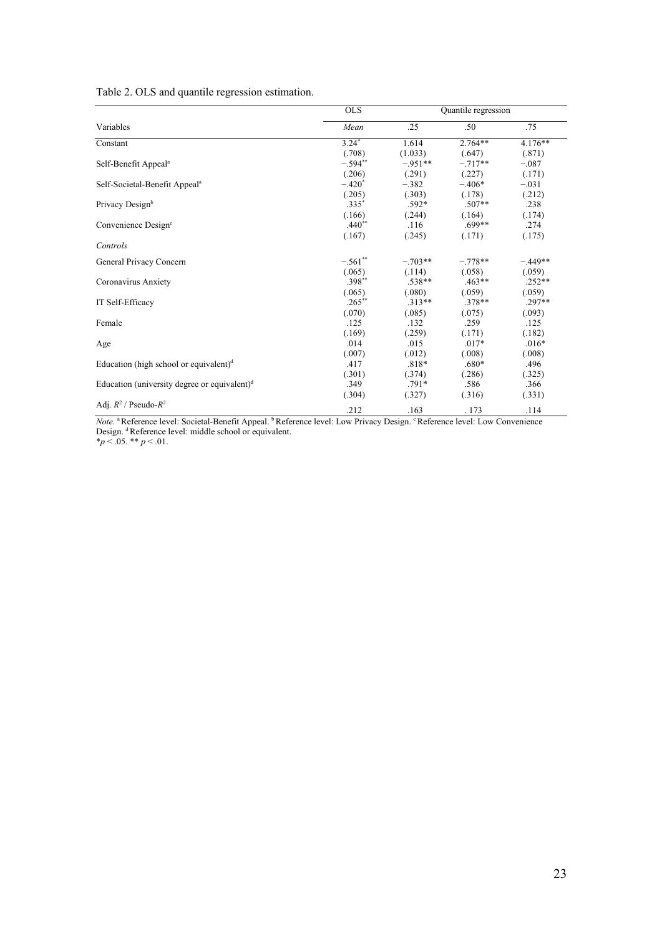|  |  | Table 2. OLS and quantile regression estimation. |
|--|--|--------------------------------------------------|
|  |  |                                                  |
|  |  |                                                  |

|                                                 | <b>OLS</b> | Quantile regression |           |           |  |
|-------------------------------------------------|------------|---------------------|-----------|-----------|--|
| Variables                                       | Mean       | .25                 | .50       | .75       |  |
| Constant                                        | $3.24*$    | 1.614               | $2.764**$ | 4.176**   |  |
|                                                 | (.708)     | (1.033)             | (.647)    | (.871)    |  |
| Self-Benefit Appeal <sup>a</sup>                | $-.594**$  | $-.951**$           | $-.717**$ | $-.087$   |  |
|                                                 | (.206)     | (.291)              | (.227)    | (.171)    |  |
| Self-Societal-Benefit Appeal <sup>a</sup>       | $-.420*$   | $-.382$             | $-.406*$  | $-.031$   |  |
|                                                 | (.205)     | (.303)              | (.178)    | (.212)    |  |
| Privacy Designb                                 | $.335*$    | $.592*$             | $.507**$  | .238      |  |
|                                                 | (.166)     | (.244)              | (.164)    | (.174)    |  |
| Convenience Design <sup>c</sup>                 | $.440**$   | .116                | $.699**$  | .274      |  |
|                                                 | (.167)     | (.245)              | (.171)    | (.175)    |  |
| Controls                                        |            |                     |           |           |  |
| General Privacy Concern                         | $-.561$ ** | $-.703**$           | $-.778**$ | $-.449**$ |  |
|                                                 | (.065)     | (.114)              | (.058)    | (.059)    |  |
| Coronavirus Anxiety                             | $.398**$   | $.538**$            | $.463**$  | $.252**$  |  |
|                                                 | (.065)     | (.080)              | (.059)    | (.059)    |  |
| IT Self-Efficacy                                | $.265**$   | $.313**$            | $.378**$  | $.297**$  |  |
|                                                 | (.070)     | (.085)              | (.075)    | (.093)    |  |
| Female                                          | .125       | .132                | .259      | .125      |  |
|                                                 | (.169)     | (.259)              | (.171)    | (.182)    |  |
| Age                                             | .014       | .015                | $.017*$   | $.016*$   |  |
|                                                 | (.007)     | (.012)              | (.008)    | (.008)    |  |
| Education (high school or equivalent) $d$       | .417       | $.818*$             | $.680*$   | .496      |  |
|                                                 | (.301)     | (.374)              | (.286)    | (.325)    |  |
| Education (university degree or equivalent) $d$ | .349       | $.791*$             | .586      | .366      |  |
|                                                 | (.304)     | (.327)              | (.316)    | (.331)    |  |
| Adj. $R^2$ / Pseudo- $R^2$                      | .212       | .163                | . 173     | .114      |  |

*Note*. <sup>a</sup> Reference level: Societal-Benefit Appeal. <sup>b</sup> Reference level: Low Privacy Design. <sup>c</sup> Reference level: Low Convenience Design. <sup>d</sup> Reference level: middle school or equivalent. \**p* < .05. \*\* *p* < .01.

23